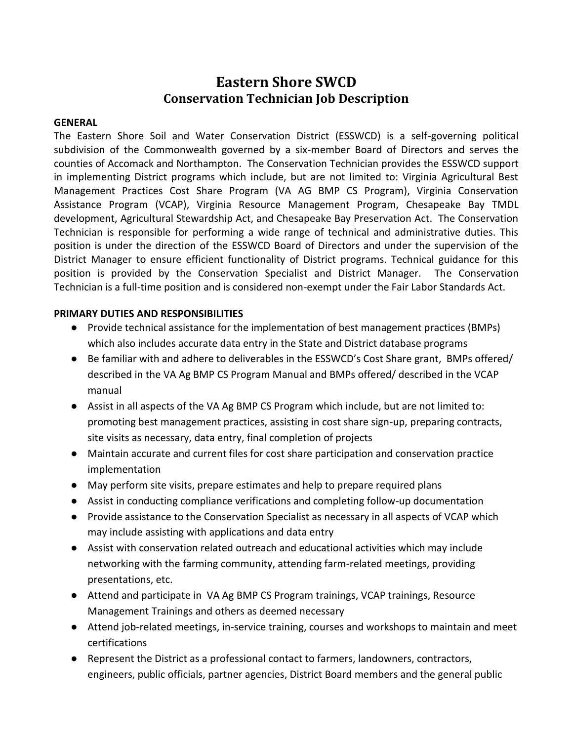# **Eastern Shore SWCD Conservation Technician Job Description**

#### **GENERAL**

The Eastern Shore Soil and Water Conservation District (ESSWCD) is a self-governing political subdivision of the Commonwealth governed by a six-member Board of Directors and serves the counties of Accomack and Northampton. The Conservation Technician provides the ESSWCD support in implementing District programs which include, but are not limited to: Virginia Agricultural Best Management Practices Cost Share Program (VA AG BMP CS Program), Virginia Conservation Assistance Program (VCAP), Virginia Resource Management Program, Chesapeake Bay TMDL development, Agricultural Stewardship Act, and Chesapeake Bay Preservation Act. The Conservation Technician is responsible for performing a wide range of technical and administrative duties. This position is under the direction of the ESSWCD Board of Directors and under the supervision of the District Manager to ensure efficient functionality of District programs. Technical guidance for this position is provided by the Conservation Specialist and District Manager. The Conservation Technician is a full-time position and is considered non-exempt under the Fair Labor Standards Act.

#### **PRIMARY DUTIES AND RESPONSIBILITIES**

- Provide technical assistance for the implementation of best management practices (BMPs) which also includes accurate data entry in the State and District database programs
- Be familiar with and adhere to deliverables in the ESSWCD's Cost Share grant, BMPs offered/ described in the VA Ag BMP CS Program Manual and BMPs offered/ described in the VCAP manual
- Assist in all aspects of the VA Ag BMP CS Program which include, but are not limited to: promoting best management practices, assisting in cost share sign-up, preparing contracts, site visits as necessary, data entry, final completion of projects
- Maintain accurate and current files for cost share participation and conservation practice implementation
- May perform site visits, prepare estimates and help to prepare required plans
- Assist in conducting compliance verifications and completing follow-up documentation
- Provide assistance to the Conservation Specialist as necessary in all aspects of VCAP which may include assisting with applications and data entry
- Assist with conservation related outreach and educational activities which may include networking with the farming community, attending farm-related meetings, providing presentations, etc.
- Attend and participate in VA Ag BMP CS Program trainings, VCAP trainings, Resource Management Trainings and others as deemed necessary
- Attend job-related meetings, in-service training, courses and workshops to maintain and meet certifications
- Represent the District as a professional contact to farmers, landowners, contractors, engineers, public officials, partner agencies, District Board members and the general public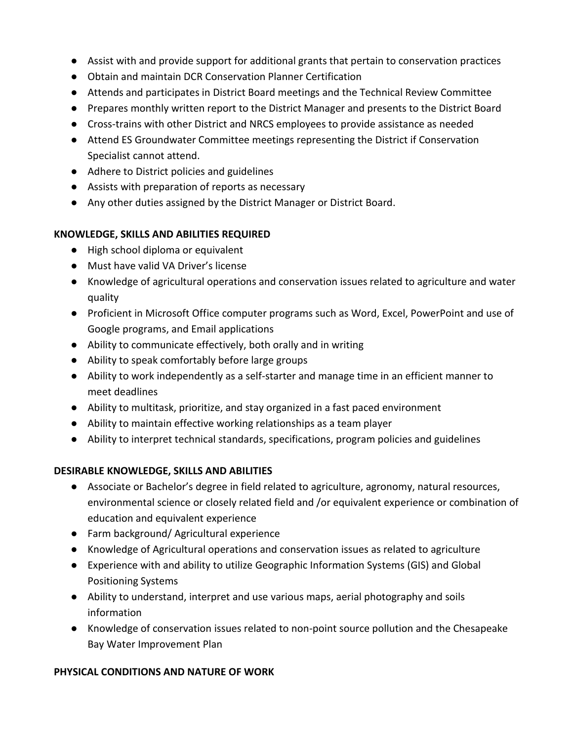- Assist with and provide support for additional grants that pertain to conservation practices
- Obtain and maintain DCR Conservation Planner Certification
- Attends and participates in District Board meetings and the Technical Review Committee
- Prepares monthly written report to the District Manager and presents to the District Board
- Cross-trains with other District and NRCS employees to provide assistance as needed
- Attend ES Groundwater Committee meetings representing the District if Conservation Specialist cannot attend.
- Adhere to District policies and guidelines
- Assists with preparation of reports as necessary
- Any other duties assigned by the District Manager or District Board.

### **KNOWLEDGE, SKILLS AND ABILITIES REQUIRED**

- High school diploma or equivalent
- Must have valid VA Driver's license
- Knowledge of agricultural operations and conservation issues related to agriculture and water quality
- Proficient in Microsoft Office computer programs such as Word, Excel, PowerPoint and use of Google programs, and Email applications
- Ability to communicate effectively, both orally and in writing
- Ability to speak comfortably before large groups
- Ability to work independently as a self-starter and manage time in an efficient manner to meet deadlines
- Ability to multitask, prioritize, and stay organized in a fast paced environment
- Ability to maintain effective working relationships as a team player
- Ability to interpret technical standards, specifications, program policies and guidelines

## **DESIRABLE KNOWLEDGE, SKILLS AND ABILITIES**

- Associate or Bachelor's degree in field related to agriculture, agronomy, natural resources, environmental science or closely related field and /or equivalent experience or combination of education and equivalent experience
- Farm background/ Agricultural experience
- Knowledge of Agricultural operations and conservation issues as related to agriculture
- Experience with and ability to utilize Geographic Information Systems (GIS) and Global Positioning Systems
- Ability to understand, interpret and use various maps, aerial photography and soils information
- Knowledge of conservation issues related to non-point source pollution and the Chesapeake Bay Water Improvement Plan

## **PHYSICAL CONDITIONS AND NATURE OF WORK**